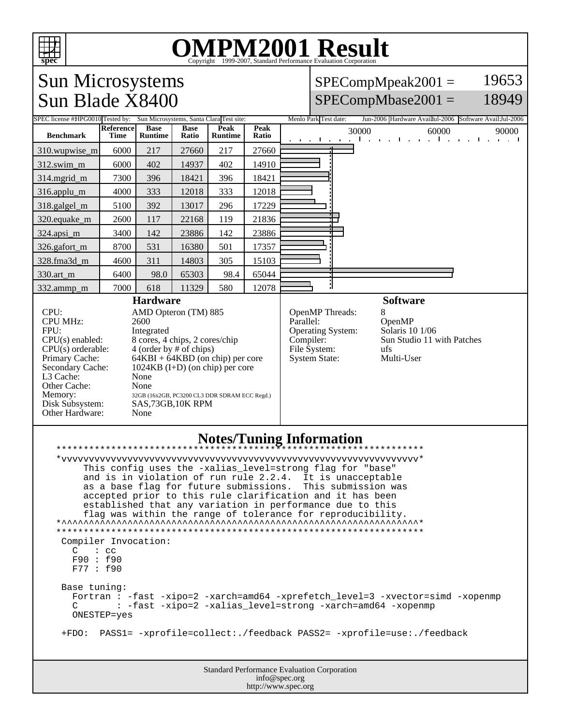

## OMPM2001 Result to Evaluation Corporation

## Sun Microsystems  $SPECompMpeak2001 =$ 19653 Sun Blade X8400  $SPECompMbase2001 =$ 18949 SPEC license #HPG0010 Tested by: Sun Microsystems, Santa Clara Test site: Menlo Park Test date: Jun-2006 Hardware Avail:Jul-2006 Software Avail:Jul-2006 **Reference Base Base Peak Peak Ratio** 30000 60000 60000 90000 90000 **Benchmark Runtime Time Ratio Runtime** 310.wupwise\_m 6000 217 27660 217 27660 312.swim\_m 6000 402 14937 402 14910 314.mgrid\_m 7300 396 18421 396 18421 316.applu\_m 4000 333 12018 333 12018 318.galgel\_m 5100 392 13017 296 17229 320.equake\_m 2600 117 22168 119 21836 324.apsi\_m 3400 142 23886 142 23886 326.gafort\_m | 8700 | 531 | 16380 | 501 | 17357 328.fma3d\_m | 4600 | 311 | 14803 | 305 | 15103 330.art\_m 6400 98.0 65303 98.4 65044 J. 332.ammp\_m 7000 618 11329 580 12078 **Hardware Software** CPU: AMD Opteron (TM) 885<br>CPU MHz: 2600 OpenMP Threads: 8<br>Parallel: C CPU MHz: OpenMP<br>Solaris 10 1/06 FPU: Integrated Operating System:  $CPU(s)$  enabled: 8 cores, 4 chips, 2 cores/chip<br>CPU(s) orderable: 4 (order by # of chips) Compiler: Sun Studio 11 with Patches CPU(s) orderable:  $4 (order by # of chips)$ <br>Primary Cache:  $64KBI + 64KBD (on c)$ File System: ufs<br>System State: Multi-User Primary Cache: 64KBI + 64KBD (on chip) per core<br>Secondary Cache: 1024KB (I+D) (on chip) per core System State:  $1024KB$  (I+D) (on chip) per core L3 Cache: None Other Cache: None Memory: 32GB (16x2GB, PC3200 CL3 DDR SDRAM ECC Regd.)<br>Disk Subsystem: SAS, 73GB, 10K RPM SAS,73GB,10K RPM Other Hardware: None **Notes/Tuning Information** \*\*\*\*\*\*\*\*\*\*\*\*\*\*\*\*\*\*\*\*\*\*\*\*\*\*\*\*\*\*\*\*\*\*\*\*\*\*\*\*\*\*\*\*\*\*\*\*\*\*\*\*\*\*\*\*\*\*\*\*\*\*\*\*\*\*\* \*vvvvvvvvvvvvvvvvvvvvvvvvvvvvvvvvvvvvvvvvvvvvvvvvvvvvvvvvvvvvvvvvv\* This config uses the -xalias\_level=strong flag for "base" and is in violation of run rule 2.2.4. It is unacceptable as a base flag for future submissions. This submission was accepted prior to this rule clarification and it has been established that any variation in performance due to this flag was within the range of tolerance for reproducibility.  $*$ \*\*\*\*\*\*\*\*\*\*\*\*\*\*\*\*\*\*\*\*\*\*\*\*\*\*\*\*\*\*\*\*\*\*\*\*\*\*\*\*\*\*\*\*\*\*\*\*\*\*\*\*\*\*\*\*\*\*\*\*\*\*\*\*\*\*\* Compiler Invocation:  $C$  :  $cc$  F90 : f90 F77 : f90 Base tuning: Fortran : -fast -xipo=2 -xarch=amd64 -xprefetch\_level=3 -xvector=simd -xopenmp<br>C : -fast -xipo=2 -xalias level=strong -xarch=amd64 -xopenmp : -fast -xipo=2 -xalias\_level=strong -xarch=amd64 -xopenmp ONESTEP=yes +FDO: PASS1= -xprofile=collect:./feedback PASS2= -xprofile=use:./feedbackStandard Performance Evaluation Corporation info@spec.org

http://www.spec.org